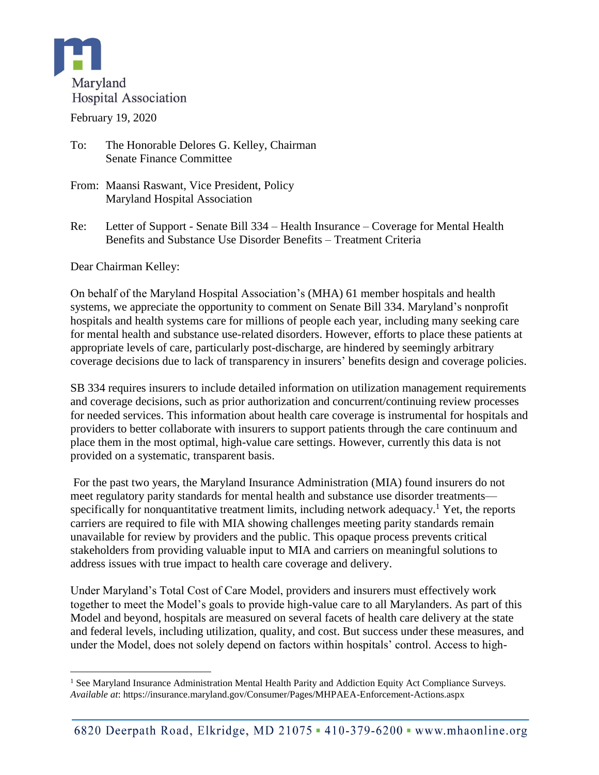

February 19, 2020

- To: The Honorable Delores G. Kelley, Chairman Senate Finance Committee
- From: Maansi Raswant, Vice President, Policy Maryland Hospital Association
- Re: Letter of Support Senate Bill 334 Health Insurance Coverage for Mental Health Benefits and Substance Use Disorder Benefits – Treatment Criteria

Dear Chairman Kelley:

On behalf of the Maryland Hospital Association's (MHA) 61 member hospitals and health systems, we appreciate the opportunity to comment on Senate Bill 334. Maryland's nonprofit hospitals and health systems care for millions of people each year, including many seeking care for mental health and substance use-related disorders. However, efforts to place these patients at appropriate levels of care, particularly post-discharge, are hindered by seemingly arbitrary coverage decisions due to lack of transparency in insurers' benefits design and coverage policies.

SB 334 requires insurers to include detailed information on utilization management requirements and coverage decisions, such as prior authorization and concurrent/continuing review processes for needed services. This information about health care coverage is instrumental for hospitals and providers to better collaborate with insurers to support patients through the care continuum and place them in the most optimal, high-value care settings. However, currently this data is not provided on a systematic, transparent basis.

For the past two years, the Maryland Insurance Administration (MIA) found insurers do not meet regulatory parity standards for mental health and substance use disorder treatments specifically for nonquantitative treatment limits, including network adequacy.<sup>1</sup> Yet, the reports carriers are required to file with MIA showing challenges meeting parity standards remain unavailable for review by providers and the public. This opaque process prevents critical stakeholders from providing valuable input to MIA and carriers on meaningful solutions to address issues with true impact to health care coverage and delivery.

Under Maryland's Total Cost of Care Model, providers and insurers must effectively work together to meet the Model's goals to provide high-value care to all Marylanders. As part of this Model and beyond, hospitals are measured on several facets of health care delivery at the state and federal levels, including utilization, quality, and cost. But success under these measures, and under the Model, does not solely depend on factors within hospitals' control. Access to high-

 $\overline{a}$  $<sup>1</sup>$  See Maryland Insurance Administration Mental Health Parity and Addiction Equity Act Compliance Surveys.</sup> *Available at*:<https://insurance.maryland.gov/Consumer/Pages/MHPAEA-Enforcement-Actions.aspx>